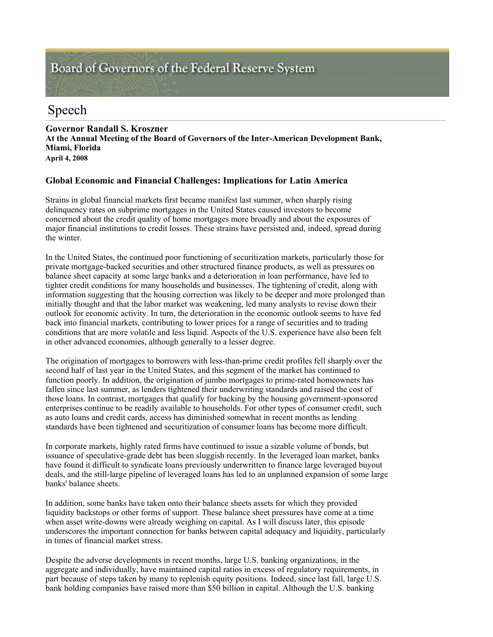# Board of Governors of the Federal Reserve System

# Speech

**Governor Randall S. Kroszner At the Annual Meeting of the Board of Governors of the Inter-American Development Bank, Miami, Florida April 4, 2008** 

## **Global Economic and Financial Challenges: Implications for Latin America**

Strains in global financial markets first became manifest last summer, when sharply rising delinquency rates on subprime mortgages in the United States caused investors to become concerned about the credit quality of home mortgages more broadly and about the exposures of major financial institutions to credit losses. These strains have persisted and, indeed, spread during the winter.

In the United States, the continued poor functioning of securitization markets, particularly those for private mortgage-backed securities and other structured finance products, as well as pressures on balance sheet capacity at some large banks and a deterioration in loan performance, have led to tighter credit conditions for many households and businesses. The tightening of credit, along with information suggesting that the housing correction was likely to be deeper and more prolonged than initially thought and that the labor market was weakening, led many analysts to revise down their outlook for economic activity. In turn, the deterioration in the economic outlook seems to have fed back into financial markets, contributing to lower prices for a range of securities and to trading conditions that are more volatile and less liquid. Aspects of the U.S. experience have also been felt in other advanced economies, although generally to a lesser degree.

The origination of mortgages to borrowers with less-than-prime credit profiles fell sharply over the second half of last year in the United States, and this segment of the market has continued to function poorly. In addition, the origination of jumbo mortgages to prime-rated homeowners has fallen since last summer, as lenders tightened their underwriting standards and raised the cost of those loans. In contrast, mortgages that qualify for backing by the housing government-sponsored enterprises continue to be readily available to households. For other types of consumer credit, such as auto loans and credit cards, access has diminished somewhat in recent months as lending standards have been tightened and securitization of consumer loans has become more difficult.

In corporate markets, highly rated firms have continued to issue a sizable volume of bonds, but issuance of speculative-grade debt has been sluggish recently. In the leveraged loan market, banks have found it difficult to syndicate loans previously underwritten to finance large leveraged buyout deals, and the still-large pipeline of leveraged loans has led to an unplanned expansion of some large banks' balance sheets.

In addition, some banks have taken onto their balance sheets assets for which they provided liquidity backstops or other forms of support. These balance sheet pressures have come at a time when asset write-downs were already weighing on capital. As I will discuss later, this episode underscores the important connection for banks between capital adequacy and liquidity, particularly in times of financial market stress.

Despite the adverse developments in recent months, large U.S. banking organizations, in the aggregate and individually, have maintained capital ratios in excess of regulatory requirements, in part because of steps taken by many to replenish equity positions. Indeed, since last fall, large U.S. bank holding companies have raised more than \$50 billion in capital. Although the U.S. banking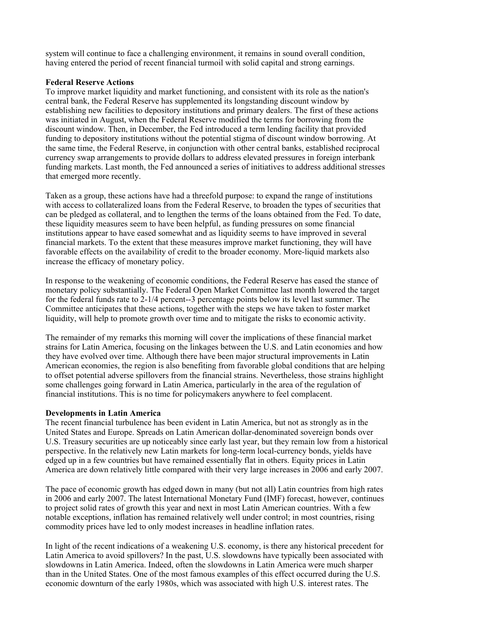system will continue to face a challenging environment, it remains in sound overall condition, having entered the period of recent financial turmoil with solid capital and strong earnings.

#### **Federal Reserve Actions**

To improve market liquidity and market functioning, and consistent with its role as the nation's central bank, the Federal Reserve has supplemented its longstanding discount window by establishing new facilities to depository institutions and primary dealers. The first of these actions was initiated in August, when the Federal Reserve modified the terms for borrowing from the discount window. Then, in December, the Fed introduced a term lending facility that provided funding to depository institutions without the potential stigma of discount window borrowing. At the same time, the Federal Reserve, in conjunction with other central banks, established reciprocal currency swap arrangements to provide dollars to address elevated pressures in foreign interbank funding markets. Last month, the Fed announced a series of initiatives to address additional stresses that emerged more recently.

Taken as a group, these actions have had a threefold purpose: to expand the range of institutions with access to collateralized loans from the Federal Reserve, to broaden the types of securities that can be pledged as collateral, and to lengthen the terms of the loans obtained from the Fed. To date, these liquidity measures seem to have been helpful, as funding pressures on some financial institutions appear to have eased somewhat and as liquidity seems to have improved in several financial markets. To the extent that these measures improve market functioning, they will have favorable effects on the availability of credit to the broader economy. More-liquid markets also increase the efficacy of monetary policy.

In response to the weakening of economic conditions, the Federal Reserve has eased the stance of monetary policy substantially. The Federal Open Market Committee last month lowered the target for the federal funds rate to 2-1/4 percent--3 percentage points below its level last summer. The Committee anticipates that these actions, together with the steps we have taken to foster market liquidity, will help to promote growth over time and to mitigate the risks to economic activity.

The remainder of my remarks this morning will cover the implications of these financial market strains for Latin America, focusing on the linkages between the U.S. and Latin economies and how they have evolved over time. Although there have been major structural improvements in Latin American economies, the region is also benefiting from favorable global conditions that are helping to offset potential adverse spillovers from the financial strains. Nevertheless, those strains highlight some challenges going forward in Latin America, particularly in the area of the regulation of financial institutions. This is no time for policymakers anywhere to feel complacent.

#### **Developments in Latin America**

The recent financial turbulence has been evident in Latin America, but not as strongly as in the United States and Europe. Spreads on Latin American dollar-denominated sovereign bonds over U.S. Treasury securities are up noticeably since early last year, but they remain low from a historical perspective. In the relatively new Latin markets for long-term local-currency bonds, yields have edged up in a few countries but have remained essentially flat in others. Equity prices in Latin America are down relatively little compared with their very large increases in 2006 and early 2007.

The pace of economic growth has edged down in many (but not all) Latin countries from high rates in 2006 and early 2007. The latest International Monetary Fund (IMF) forecast, however, continues to project solid rates of growth this year and next in most Latin American countries. With a few notable exceptions, inflation has remained relatively well under control; in most countries, rising commodity prices have led to only modest increases in headline inflation rates.

In light of the recent indications of a weakening U.S. economy, is there any historical precedent for Latin America to avoid spillovers? In the past, U.S. slowdowns have typically been associated with slowdowns in Latin America. Indeed, often the slowdowns in Latin America were much sharper than in the United States. One of the most famous examples of this effect occurred during the U.S. economic downturn of the early 1980s, which was associated with high U.S. interest rates. The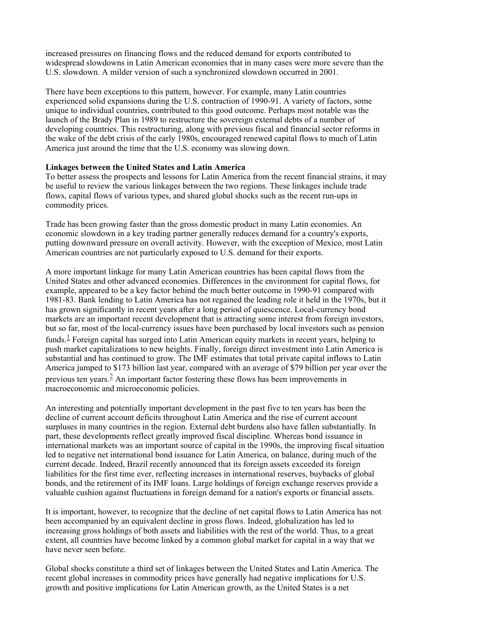increased pressures on financing flows and the reduced demand for exports contributed to widespread slowdowns in Latin American economies that in many cases were more severe than the U.S. slowdown. A milder version of such a synchronized slowdown occurred in 2001.

There have been exceptions to this pattern, however. For example, many Latin countries experienced solid expansions during the U.S. contraction of 1990-91. A variety of factors, some unique to individual countries, contributed to this good outcome. Perhaps most notable was the launch of the Brady Plan in 1989 to restructure the sovereign external debts of a number of developing countries. This restructuring, along with previous fiscal and financial sector reforms in the wake of the debt crisis of the early 1980s, encouraged renewed capital flows to much of Latin America just around the time that the U.S. economy was slowing down.

#### **Linkages between the United States and Latin America**

To better assess the prospects and lessons for Latin America from the recent financial strains, it may be useful to review the various linkages between the two regions. These linkages include trade flows, capital flows of various types, and shared global shocks such as the recent run-ups in commodity prices.

Trade has been growing faster than the gross domestic product in many Latin economies. An economic slowdown in a key trading partner generally reduces demand for a country's exports, putting downward pressure on overall activity. However, with the exception of Mexico, most Latin American countries are not particularly exposed to U.S. demand for their exports.

A more important linkage for many Latin American countries has been capital flows from the United States and other advanced economies. Differences in the environment for capital flows, for example, appeared to be a key factor behind the much better outcome in 1990-91 compared with 1981-83. Bank lending to Latin America has not regained the leading role it held in the 1970s, but it has grown significantly in recent years after a long period of quiescence. Local-currency bond markets are an important recent development that is attracting some interest from foreign investors, but so far, most of the local-currency issues have been purchased by local investors such as pension funds.<sup> $\perp$ </sup> Foreign capital has surged into Latin American equity markets in recent years, helping to push market capitalizations to new heights. Finally, foreign direct investment into Latin America is substantial and has continued to grow. The IMF estimates that total private capital inflows to Latin America jumped to \$173 billion last year, compared with an average of \$79 billion per year over the previous ten years. $\frac{2}{3}$  An important factor fostering these flows has been improvements in macroeconomic and microeconomic policies.

An interesting and potentially important development in the past five to ten years has been the decline of current account deficits throughout Latin America and the rise of current account surpluses in many countries in the region. External debt burdens also have fallen substantially. In part, these developments reflect greatly improved fiscal discipline. Whereas bond issuance in international markets was an important source of capital in the 1990s, the improving fiscal situation led to negative net international bond issuance for Latin America, on balance, during much of the current decade. Indeed, Brazil recently announced that its foreign assets exceeded its foreign liabilities for the first time ever, reflecting increases in international reserves, buybacks of global bonds, and the retirement of its IMF loans. Large holdings of foreign exchange reserves provide a valuable cushion against fluctuations in foreign demand for a nation's exports or financial assets.

It is important, however, to recognize that the decline of net capital flows to Latin America has not been accompanied by an equivalent decline in gross flows. Indeed, globalization has led to increasing gross holdings of both assets and liabilities with the rest of the world. Thus, to a great extent, all countries have become linked by a common global market for capital in a way that we have never seen before.

Global shocks constitute a third set of linkages between the United States and Latin America. The recent global increases in commodity prices have generally had negative implications for U.S. growth and positive implications for Latin American growth, as the United States is a net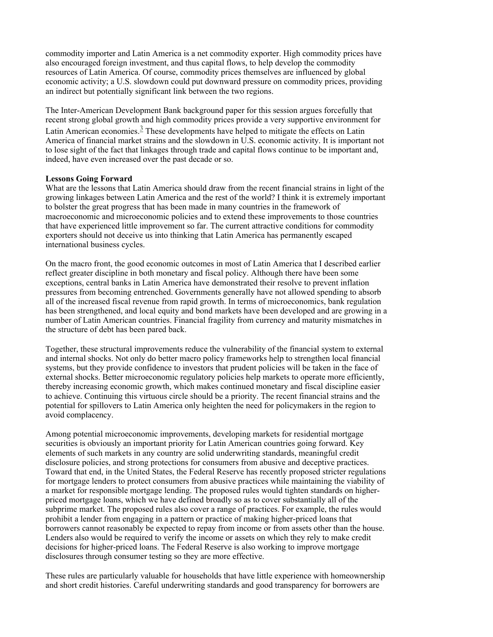commodity importer and Latin America is a net commodity exporter. High commodity prices have also encouraged foreign investment, and thus capital flows, to help develop the commodity resources of Latin America. Of course, commodity prices themselves are influenced by global economic activity; a U.S. slowdown could put downward pressure on commodity prices, providing an indirect but potentially significant link between the two regions.

The Inter-American Development Bank background paper for this session argues forcefully that recent strong global growth and high commodity prices provide a very supportive environment for Latin American economies. $\frac{3}{5}$  These developments have helped to mitigate the effects on Latin America of financial market strains and the slowdown in U.S. economic activity. It is important not to lose sight of the fact that linkages through trade and capital flows continue to be important and, indeed, have even increased over the past decade or so.

#### **Lessons Going Forward**

What are the lessons that Latin America should draw from the recent financial strains in light of the growing linkages between Latin America and the rest of the world? I think it is extremely important to bolster the great progress that has been made in many countries in the framework of macroeconomic and microeconomic policies and to extend these improvements to those countries that have experienced little improvement so far. The current attractive conditions for commodity exporters should not deceive us into thinking that Latin America has permanently escaped international business cycles.

On the macro front, the good economic outcomes in most of Latin America that I described earlier reflect greater discipline in both monetary and fiscal policy. Although there have been some exceptions, central banks in Latin America have demonstrated their resolve to prevent inflation pressures from becoming entrenched. Governments generally have not allowed spending to absorb all of the increased fiscal revenue from rapid growth. In terms of microeconomics, bank regulation has been strengthened, and local equity and bond markets have been developed and are growing in a number of Latin American countries. Financial fragility from currency and maturity mismatches in the structure of debt has been pared back.

Together, these structural improvements reduce the vulnerability of the financial system to external and internal shocks. Not only do better macro policy frameworks help to strengthen local financial systems, but they provide confidence to investors that prudent policies will be taken in the face of external shocks. Better microeconomic regulatory policies help markets to operate more efficiently, thereby increasing economic growth, which makes continued monetary and fiscal discipline easier to achieve. Continuing this virtuous circle should be a priority. The recent financial strains and the potential for spillovers to Latin America only heighten the need for policymakers in the region to avoid complacency.

Among potential microeconomic improvements, developing markets for residential mortgage securities is obviously an important priority for Latin American countries going forward. Key elements of such markets in any country are solid underwriting standards, meaningful credit disclosure policies, and strong protections for consumers from abusive and deceptive practices. Toward that end, in the United States, the Federal Reserve has recently proposed stricter regulations for mortgage lenders to protect consumers from abusive practices while maintaining the viability of a market for responsible mortgage lending. The proposed rules would tighten standards on higherpriced mortgage loans, which we have defined broadly so as to cover substantially all of the subprime market. The proposed rules also cover a range of practices. For example, the rules would prohibit a lender from engaging in a pattern or practice of making higher-priced loans that borrowers cannot reasonably be expected to repay from income or from assets other than the house. Lenders also would be required to verify the income or assets on which they rely to make credit decisions for higher-priced loans. The Federal Reserve is also working to improve mortgage disclosures through consumer testing so they are more effective.

These rules are particularly valuable for households that have little experience with homeownership and short credit histories. Careful underwriting standards and good transparency for borrowers are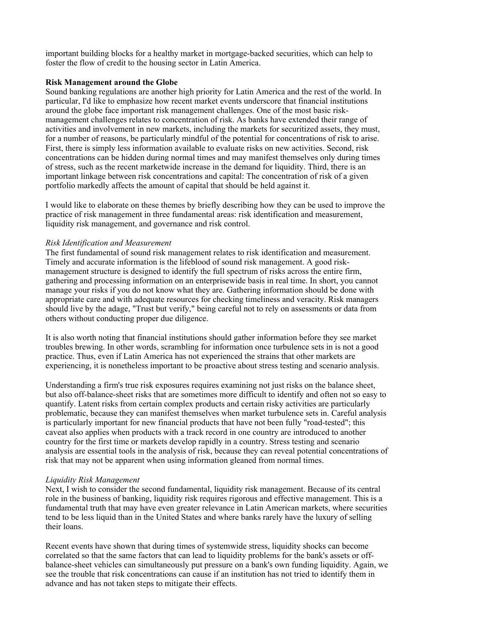important building blocks for a healthy market in mortgage-backed securities, which can help to foster the flow of credit to the housing sector in Latin America.

#### **Risk Management around the Globe**

Sound banking regulations are another high priority for Latin America and the rest of the world. In particular, I'd like to emphasize how recent market events underscore that financial institutions around the globe face important risk management challenges. One of the most basic riskmanagement challenges relates to concentration of risk. As banks have extended their range of activities and involvement in new markets, including the markets for securitized assets, they must, for a number of reasons, be particularly mindful of the potential for concentrations of risk to arise. First, there is simply less information available to evaluate risks on new activities. Second, risk concentrations can be hidden during normal times and may manifest themselves only during times of stress, such as the recent marketwide increase in the demand for liquidity. Third, there is an important linkage between risk concentrations and capital: The concentration of risk of a given portfolio markedly affects the amount of capital that should be held against it.

I would like to elaborate on these themes by briefly describing how they can be used to improve the practice of risk management in three fundamental areas: risk identification and measurement, liquidity risk management, and governance and risk control.

#### *Risk Identification and Measurement*

The first fundamental of sound risk management relates to risk identification and measurement. Timely and accurate information is the lifeblood of sound risk management. A good riskmanagement structure is designed to identify the full spectrum of risks across the entire firm, gathering and processing information on an enterprisewide basis in real time. In short, you cannot manage your risks if you do not know what they are. Gathering information should be done with appropriate care and with adequate resources for checking timeliness and veracity. Risk managers should live by the adage, "Trust but verify," being careful not to rely on assessments or data from others without conducting proper due diligence.

It is also worth noting that financial institutions should gather information before they see market troubles brewing. In other words, scrambling for information once turbulence sets in is not a good practice. Thus, even if Latin America has not experienced the strains that other markets are experiencing, it is nonetheless important to be proactive about stress testing and scenario analysis.

Understanding a firm's true risk exposures requires examining not just risks on the balance sheet, but also off-balance-sheet risks that are sometimes more difficult to identify and often not so easy to quantify. Latent risks from certain complex products and certain risky activities are particularly problematic, because they can manifest themselves when market turbulence sets in. Careful analysis is particularly important for new financial products that have not been fully "road-tested"; this caveat also applies when products with a track record in one country are introduced to another country for the first time or markets develop rapidly in a country. Stress testing and scenario analysis are essential tools in the analysis of risk, because they can reveal potential concentrations of risk that may not be apparent when using information gleaned from normal times.

#### *Liquidity Risk Management*

Next, I wish to consider the second fundamental, liquidity risk management. Because of its central role in the business of banking, liquidity risk requires rigorous and effective management. This is a fundamental truth that may have even greater relevance in Latin American markets, where securities tend to be less liquid than in the United States and where banks rarely have the luxury of selling their loans.

Recent events have shown that during times of systemwide stress, liquidity shocks can become correlated so that the same factors that can lead to liquidity problems for the bank's assets or offbalance-sheet vehicles can simultaneously put pressure on a bank's own funding liquidity. Again, we see the trouble that risk concentrations can cause if an institution has not tried to identify them in advance and has not taken steps to mitigate their effects.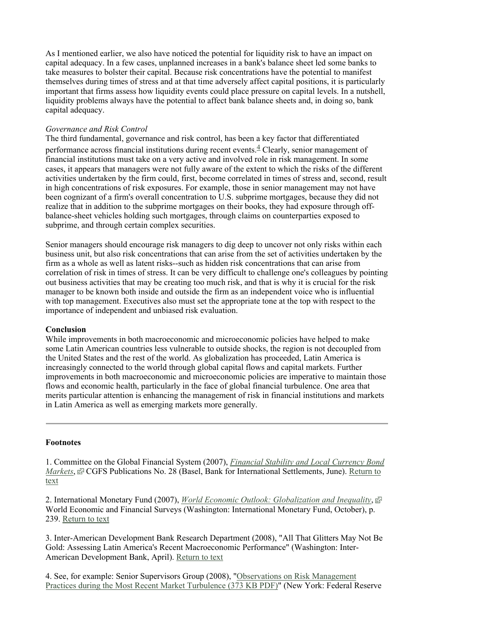As I mentioned earlier, we also have noticed the potential for liquidity risk to have an impact on capital adequacy. In a few cases, unplanned increases in a bank's balance sheet led some banks to take measures to bolster their capital. Because risk concentrations have the potential to manifest themselves during times of stress and at that time adversely affect capital positions, it is particularly important that firms assess how liquidity events could place pressure on capital levels. In a nutshell, liquidity problems always have the potential to affect bank balance sheets and, in doing so, bank capital adequacy.

#### *Governance and Risk Control*

The third fundamental, governance and risk control, has been a key factor that differentiated performance across financial institutions during recent events. $\frac{4}{3}$  Clearly, senior management of financial institutions must take on a very active and involved role in risk management. In some cases, it appears that managers were not fully aware of the extent to which the risks of the different activities undertaken by the firm could, first, become correlated in times of stress and, second, result in high concentrations of risk exposures. For example, those in senior management may not have been cognizant of a firm's overall concentration to U.S. subprime mortgages, because they did not realize that in addition to the subprime mortgages on their books, they had exposure through offbalance-sheet vehicles holding such mortgages, through claims on counterparties exposed to subprime, and through certain complex securities.

Senior managers should encourage risk managers to dig deep to uncover not only risks within each business unit, but also risk concentrations that can arise from the set of activities undertaken by the firm as a whole as well as latent risks--such as hidden risk concentrations that can arise from correlation of risk in times of stress. It can be very difficult to challenge one's colleagues by pointing out business activities that may be creating too much risk, and that is why it is crucial for the risk manager to be known both inside and outside the firm as an independent voice who is influential with top management. Executives also must set the appropriate tone at the top with respect to the importance of independent and unbiased risk evaluation.

#### **Conclusion**

While improvements in both macroeconomic and microeconomic policies have helped to make some Latin American countries less vulnerable to outside shocks, the region is not decoupled from the United States and the rest of the world. As globalization has proceeded, Latin America is increasingly connected to the world through global capital flows and capital markets. Further improvements in both macroeconomic and microeconomic policies are imperative to maintain those flows and economic health, particularly in the face of global financial turbulence. One area that merits particular attention is enhancing the management of risk in financial institutions and markets in Latin America as well as emerging markets more generally.

## **Footnotes**

1. Committee on the Global Financial System (2007), *Financial Stability and Local Currency Bond Markets*, **F** CGFS Publications No. 28 (Basel, Bank for International Settlements, June). Return to text

2. International Monetary Fund (2007), *World Economic Outlook: Globalization and Inequality*, World Economic and Financial Surveys (Washington: International Monetary Fund, October), p. 239. Return to text

3. Inter-American Development Bank Research Department (2008), "All That Glitters May Not Be Gold: Assessing Latin America's Recent Macroeconomic Performance" (Washington: Inter-American Development Bank, April). Return to text

4. See, for example: Senior Supervisors Group (2008), "Observations on Risk Management Practices during the Most Recent Market Turbulence (373 KB PDF)" (New York: Federal Reserve